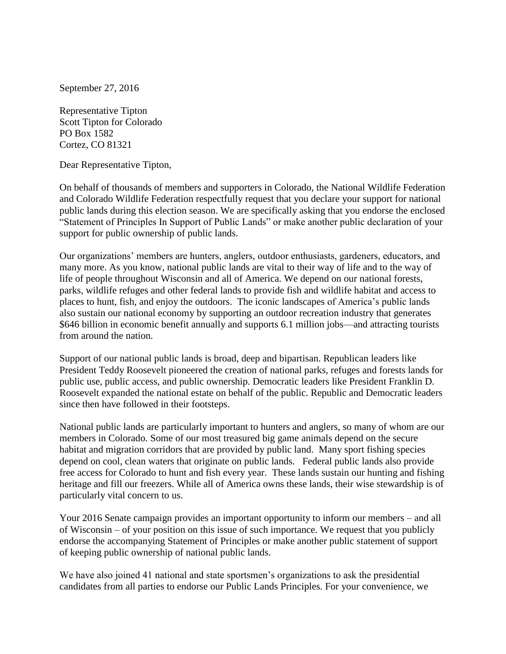September 27, 2016

Representative Tipton Scott Tipton for Colorado PO Box 1582 Cortez, CO 81321

Dear Representative Tipton,

On behalf of thousands of members and supporters in Colorado, the National Wildlife Federation and Colorado Wildlife Federation respectfully request that you declare your support for national public lands during this election season. We are specifically asking that you endorse the enclosed "Statement of Principles In Support of Public Lands" or make another public declaration of your support for public ownership of public lands.

Our organizations' members are hunters, anglers, outdoor enthusiasts, gardeners, educators, and many more. As you know, national public lands are vital to their way of life and to the way of life of people throughout Wisconsin and all of America. We depend on our national forests, parks, wildlife refuges and other federal lands to provide fish and wildlife habitat and access to places to hunt, fish, and enjoy the outdoors. The iconic landscapes of America's public lands also sustain our national economy by supporting an outdoor recreation industry that generates \$646 billion in economic benefit annually and supports 6.1 million jobs—and attracting tourists from around the nation.

Support of our national public lands is broad, deep and bipartisan. Republican leaders like President Teddy Roosevelt pioneered the creation of national parks, refuges and forests lands for public use, public access, and public ownership. Democratic leaders like President Franklin D. Roosevelt expanded the national estate on behalf of the public. Republic and Democratic leaders since then have followed in their footsteps.

National public lands are particularly important to hunters and anglers, so many of whom are our members in Colorado. Some of our most treasured big game animals depend on the secure habitat and migration corridors that are provided by public land. Many sport fishing species depend on cool, clean waters that originate on public lands. Federal public lands also provide free access for Colorado to hunt and fish every year. These lands sustain our hunting and fishing heritage and fill our freezers. While all of America owns these lands, their wise stewardship is of particularly vital concern to us.

Your 2016 Senate campaign provides an important opportunity to inform our members – and all of Wisconsin – of your position on this issue of such importance. We request that you publicly endorse the accompanying Statement of Principles or make another public statement of support of keeping public ownership of national public lands.

We have also joined 41 national and state sportsmen's organizations to ask the presidential candidates from all parties to endorse our Public Lands Principles. For your convenience, we